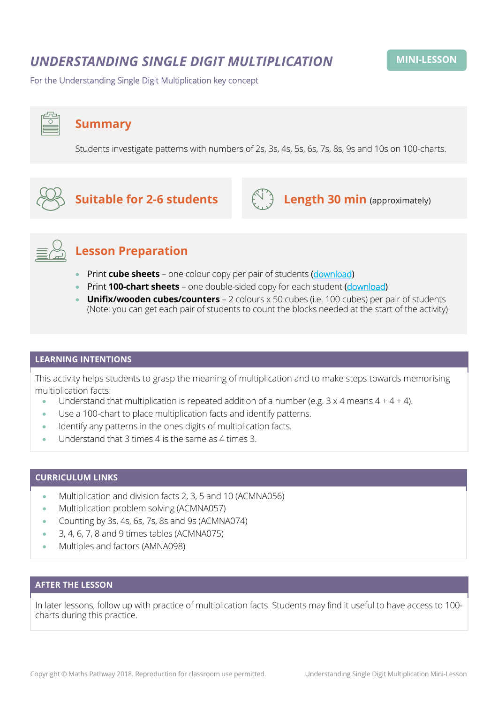## *UNDERSTANDING SINGLE DIGIT MULTIPLICATION*

For the Understanding Single Digit Multiplication key concept

### **Summary**

Students investigate patterns with numbers of 2s, 3s, 4s, 5s, 6s, 7s, 8s, 9s and 10s on 100-charts.

# **Suitable for 2-6 students**  $\left(\bigcup_{i=1}^{N} A_i\right)$  **Length 30 min** (approximately)





## **Lesson Preparation**

- Print **cube sheets** one colour copy per pair of students ([download](https://mpcontent.blob.core.windows.net/mini-lesson-resources/Understanding%20Single%20Digit%20Multiplication%20-%20Cube%20Sheet.pdf))
- Print **100-chart sheets** one double-sided copy for each student ([download](https://mpcontent.blob.core.windows.net/mini-lesson-resources/Understanding%20Single%20Digit%20Multiplication%20-%20100-Chart%20Sheet.pdf))
- **Unifix/wooden cubes/counters** 2 colours x 50 cubes (i.e. 100 cubes) per pair of students (Note: you can get each pair of students to count the blocks needed at the start of the activity)

#### **LEARNING INTENTIONS**

This activity helps students to grasp the meaning of multiplication and to make steps towards memorising multiplication facts:

- Understand that multiplication is repeated addition of a number (e.g.  $3 \times 4$  means  $4 + 4 + 4$ ).
- Use a 100-chart to place multiplication facts and identify patterns.
- Identify any patterns in the ones digits of multiplication facts.
- Understand that 3 times 4 is the same as 4 times 3.

#### **CURRICULUM LINKS**

- Multiplication and division facts 2, 3, 5 and 10 (ACMNA056)
- Multiplication problem solving (ACMNA057)
- Counting by 3s, 4s, 6s, 7s, 8s and 9s (ACMNA074)
- 3, 4, 6, 7, 8 and 9 times tables (ACMNA075)
- Multiples and factors (AMNA098)

#### **AFTER THE LESSON**

In later lessons, follow up with practice of multiplication facts. Students may find it useful to have access to 100 charts during this practice.